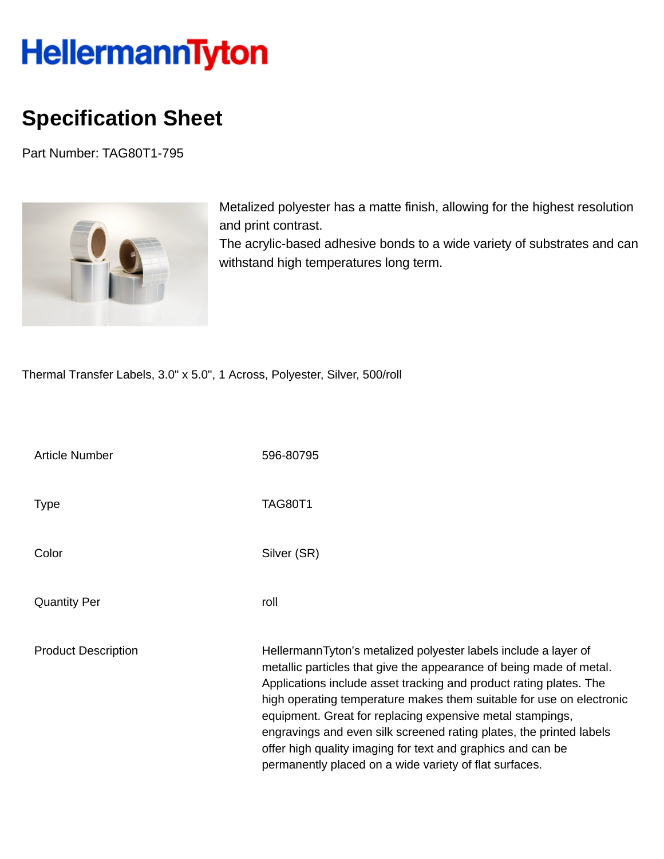## HellermannTyton

## **Specification Sheet**

Part Number: TAG80T1-795



Metalized polyester has a matte finish, allowing for the highest resolution and print contrast.

The acrylic-based adhesive bonds to a wide variety of substrates and can withstand high temperatures long term.

Thermal Transfer Labels, 3.0" x 5.0", 1 Across, Polyester, Silver, 500/roll

| <b>Article Number</b>      | 596-80795                                                                                                                                                                                                                                                                                                                                                                                                                                                                                                                                         |
|----------------------------|---------------------------------------------------------------------------------------------------------------------------------------------------------------------------------------------------------------------------------------------------------------------------------------------------------------------------------------------------------------------------------------------------------------------------------------------------------------------------------------------------------------------------------------------------|
| <b>Type</b>                | <b>TAG80T1</b>                                                                                                                                                                                                                                                                                                                                                                                                                                                                                                                                    |
| Color                      | Silver (SR)                                                                                                                                                                                                                                                                                                                                                                                                                                                                                                                                       |
| <b>Quantity Per</b>        | roll                                                                                                                                                                                                                                                                                                                                                                                                                                                                                                                                              |
| <b>Product Description</b> | HellermannTyton's metalized polyester labels include a layer of<br>metallic particles that give the appearance of being made of metal.<br>Applications include asset tracking and product rating plates. The<br>high operating temperature makes them suitable for use on electronic<br>equipment. Great for replacing expensive metal stampings,<br>engravings and even silk screened rating plates, the printed labels<br>offer high quality imaging for text and graphics and can be<br>permanently placed on a wide variety of flat surfaces. |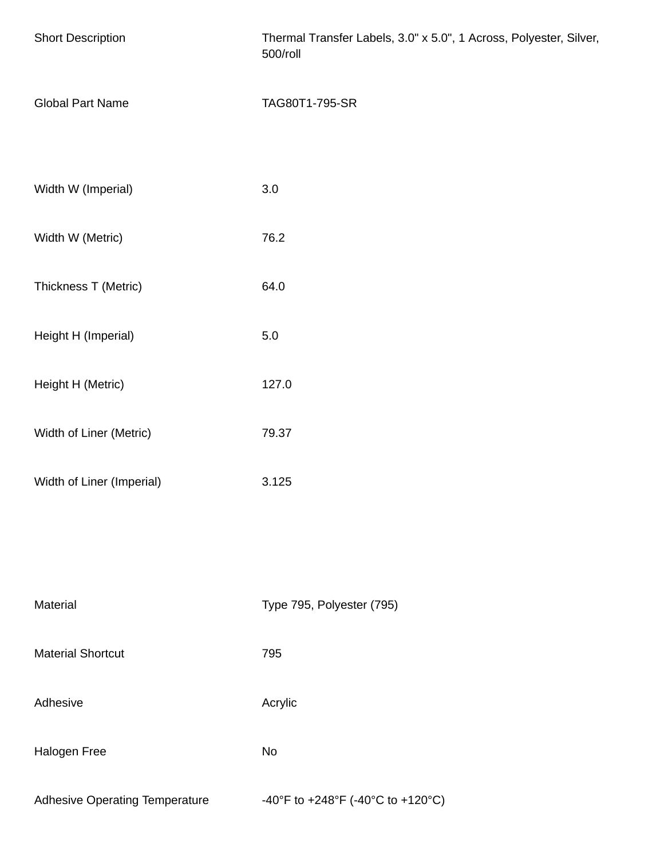| <b>Short Description</b>              | Thermal Transfer Labels, 3.0" x 5.0", 1 Across, Polyester, Silver,<br>500/roll |
|---------------------------------------|--------------------------------------------------------------------------------|
| <b>Global Part Name</b>               | TAG80T1-795-SR                                                                 |
| Width W (Imperial)                    | 3.0                                                                            |
| Width W (Metric)                      | 76.2                                                                           |
| Thickness T (Metric)                  | 64.0                                                                           |
| Height H (Imperial)                   | $5.0\,$                                                                        |
| Height H (Metric)                     | 127.0                                                                          |
| Width of Liner (Metric)               | 79.37                                                                          |
| Width of Liner (Imperial)             | 3.125                                                                          |
|                                       |                                                                                |
| Material                              | Type 795, Polyester (795)                                                      |
| <b>Material Shortcut</b>              | 795                                                                            |
| Adhesive                              | Acrylic                                                                        |
| Halogen Free                          | No                                                                             |
| <b>Adhesive Operating Temperature</b> | -40°F to +248°F (-40°C to +120°C)                                              |